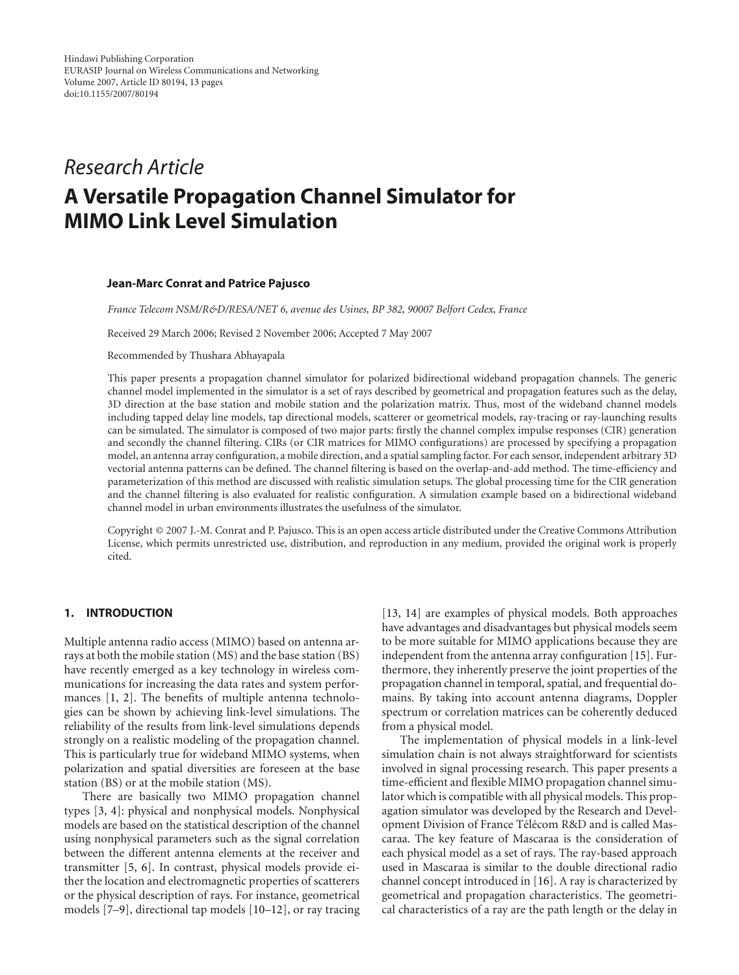# *Research Article* **A Versatile Propagation Channel Simulator for MIMO Link Level Simulation**

#### **Jean-Marc Conrat and Patrice Pajusco**

*France Telecom NSM/R&D/RESA/NET 6, avenue des Usines, BP 382, 90007 Belfort Cedex, France*

Received 29 March 2006; Revised 2 November 2006; Accepted 7 May 2007

Recommended by Thushara Abhayapala

This paper presents a propagation channel simulator for polarized bidirectional wideband propagation channels. The generic channel model implemented in the simulator is a set of rays described by geometrical and propagation features such as the delay, 3D direction at the base station and mobile station and the polarization matrix. Thus, most of the wideband channel models including tapped delay line models, tap directional models, scatterer or geometrical models, ray-tracing or ray-launching results can be simulated. The simulator is composed of two major parts: firstly the channel complex impulse responses (CIR) generation and secondly the channel filtering. CIRs (or CIR matrices for MIMO configurations) are processed by specifying a propagation model, an antenna array configuration, a mobile direction, and a spatial sampling factor. For each sensor, independent arbitrary 3D vectorial antenna patterns can be defined. The channel filtering is based on the overlap-and-add method. The time-efficiency and parameterization of this method are discussed with realistic simulation setups. The global processing time for the CIR generation and the channel filtering is also evaluated for realistic configuration. A simulation example based on a bidirectional wideband channel model in urban environments illustrates the usefulness of the simulator.

Copyright © 2007 J.-M. Conrat and P. Pajusco. This is an open access article distributed under the Creative Commons Attribution License, which permits unrestricted use, distribution, and reproduction in any medium, provided the original work is properly cited.

## **1. INTRODUCTION**

Multiple antenna radio access (MIMO) based on antenna arrays at both the mobile station (MS) and the base station (BS) have recently emerged as a key technology in wireless communications for increasing the data rates and system performances [\[1](#page-11-1), [2\]](#page-11-2). The benefits of multiple antenna technologies can be shown by achieving link-level simulations. The reliability of the results from link-level simulations depends strongly on a realistic modeling of the propagation channel. This is particularly true for wideband MIMO systems, when polarization and spatial diversities are foreseen at the base station (BS) or at the mobile station (MS).

There are basically two MIMO propagation channel types [\[3,](#page-11-3) [4\]](#page-11-4): physical and nonphysical models. Nonphysical models are based on the statistical description of the channel using nonphysical parameters such as the signal correlation between the different antenna elements at the receiver and transmitter [\[5](#page-11-5), [6\]](#page-11-6). In contrast, physical models provide either the location and electromagnetic properties of scatterers or the physical description of rays. For instance, geometrical models [\[7](#page-11-7)[–9\]](#page-11-8), directional tap models [\[10](#page-11-9)[–12\]](#page-11-10), or ray tracing [\[13](#page-11-11), [14\]](#page-11-12) are examples of physical models. Both approaches have advantages and disadvantages but physical models seem to be more suitable for MIMO applications because they are independent from the antenna array configuration [\[15\]](#page-11-13). Furthermore, they inherently preserve the joint properties of the propagation channel in temporal, spatial, and frequential domains. By taking into account antenna diagrams, Doppler spectrum or correlation matrices can be coherently deduced from a physical model.

The implementation of physical models in a link-level simulation chain is not always straightforward for scientists involved in signal processing research. This paper presents a time-efficient and flexible MIMO propagation channel simulator which is compatible with all physical models. This propagation simulator was developed by the Research and Development Division of France Télécom R&D and is called Mascaraa. The key feature of Mascaraa is the consideration of each physical model as a set of rays. The ray-based approach used in Mascaraa is similar to the double directional radio channel concept introduced in [\[16](#page-11-14)]. A ray is characterized by geometrical and propagation characteristics. The geometrical characteristics of a ray are the path length or the delay in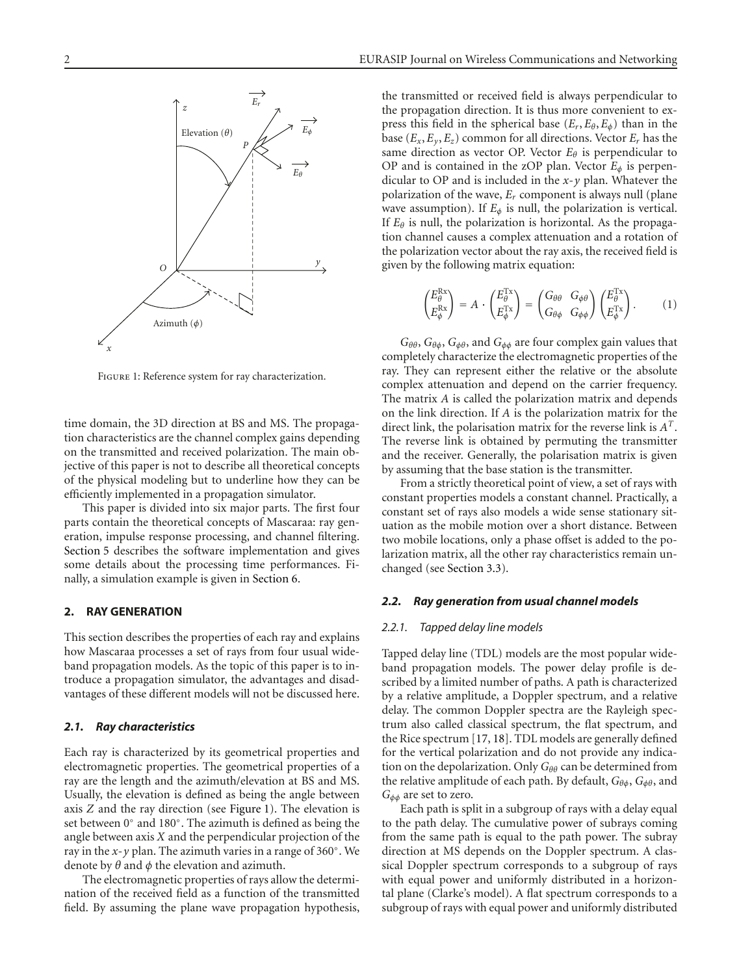

FIGURE 1: Reference system for ray characterization.

<span id="page-1-0"></span>time domain, the 3D direction at BS and MS. The propagation characteristics are the channel complex gains depending on the transmitted and received polarization. The main objective of this paper is not to describe all theoretical concepts of the physical modeling but to underline how they can be efficiently implemented in a propagation simulator.

This paper is divided into six major parts. The first four parts contain the theoretical concepts of Mascaraa: ray generation, impulse response processing, and channel filtering. [Section 5](#page-6-0) describes the software implementation and gives some details about the processing time performances. Finally, a simulation example is given in [Section 6.](#page-10-0)

## <span id="page-1-1"></span>**2. RAY GENERATION**

This section describes the properties of each ray and explains how Mascaraa processes a set of rays from four usual wideband propagation models. As the topic of this paper is to introduce a propagation simulator, the advantages and disadvantages of these different models will not be discussed here.

## *2.1. Ray characteristics*

Each ray is characterized by its geometrical properties and electromagnetic properties. The geometrical properties of a ray are the length and the azimuth/elevation at BS and MS. Usually, the elevation is defined as being the angle between axis *Z* and the ray direction (see [Figure 1\)](#page-1-0). The elevation is set between 0◦ and 180◦. The azimuth is defined as being the angle between axis *X* and the perpendicular projection of the ray in the *x*-*y* plan. The azimuth varies in a range of 360◦. We denote by *θ* and *φ* the elevation and azimuth.

The electromagnetic properties of rays allow the determination of the received field as a function of the transmitted field. By assuming the plane wave propagation hypothesis, the transmitted or received field is always perpendicular to the propagation direction. It is thus more convenient to express this field in the spherical base  $(E_r, E_\theta, E_\phi)$  than in the base  $(E_x, E_y, E_z)$  common for all directions. Vector  $E_r$  has the same direction as vector OP. Vector  $E_{\theta}$  is perpendicular to OP and is contained in the zOP plan. Vector  $E_{\phi}$  is perpendicular to OP and is included in the *x*-*y* plan. Whatever the polarization of the wave, *Er* component is always null (plane wave assumption). If  $E_{\phi}$  is null, the polarization is vertical. If  $E_\theta$  is null, the polarization is horizontal. As the propagation channel causes a complex attenuation and a rotation of the polarization vector about the ray axis, the received field is given by the following matrix equation:

$$
\begin{pmatrix} E_{\theta}^{\mathrm{Rx}} \\ E_{\phi}^{\mathrm{Rx}} \end{pmatrix} = A \cdot \begin{pmatrix} E_{\theta}^{\mathrm{Tx}} \\ E_{\phi}^{\mathrm{Tx}} \end{pmatrix} = \begin{pmatrix} G_{\theta\theta} & G_{\phi\theta} \\ G_{\theta\phi} & G_{\phi\phi} \end{pmatrix} \begin{pmatrix} E_{\theta}^{\mathrm{Tx}} \\ E_{\phi}^{\mathrm{Tx}} \end{pmatrix}.
$$
 (1)

*Gθθ*, *Gθφ*, *Gφθ*, and *Gφφ* are four complex gain values that completely characterize the electromagnetic properties of the ray. They can represent either the relative or the absolute complex attenuation and depend on the carrier frequency. The matrix *A* is called the polarization matrix and depends on the link direction. If *A* is the polarization matrix for the direct link, the polarisation matrix for the reverse link is *AT*. The reverse link is obtained by permuting the transmitter and the receiver. Generally, the polarisation matrix is given by assuming that the base station is the transmitter.

From a strictly theoretical point of view, a set of rays with constant properties models a constant channel. Practically, a constant set of rays also models a wide sense stationary situation as the mobile motion over a short distance. Between two mobile locations, only a phase offset is added to the polarization matrix, all the other ray characteristics remain unchanged (see [Section 3.3\)](#page-3-0).

## *2.2. Ray generation from usual channel models*

## *2.2.1. Tapped delay line models*

Tapped delay line (TDL) models are the most popular wideband propagation models. The power delay profile is described by a limited number of paths. A path is characterized by a relative amplitude, a Doppler spectrum, and a relative delay. The common Doppler spectra are the Rayleigh spectrum also called classical spectrum, the flat spectrum, and the Rice spectrum [\[17](#page-11-15), [18\]](#page-11-16). TDL models are generally defined for the vertical polarization and do not provide any indication on the depolarization. Only *G*<sub>θθ</sub> can be determined from the relative amplitude of each path. By default, *Gθφ*, *Gφθ*, and *Gφφ* are set to zero.

Each path is split in a subgroup of rays with a delay equal to the path delay. The cumulative power of subrays coming from the same path is equal to the path power. The subray direction at MS depends on the Doppler spectrum. A classical Doppler spectrum corresponds to a subgroup of rays with equal power and uniformly distributed in a horizontal plane (Clarke's model). A flat spectrum corresponds to a subgroup of rays with equal power and uniformly distributed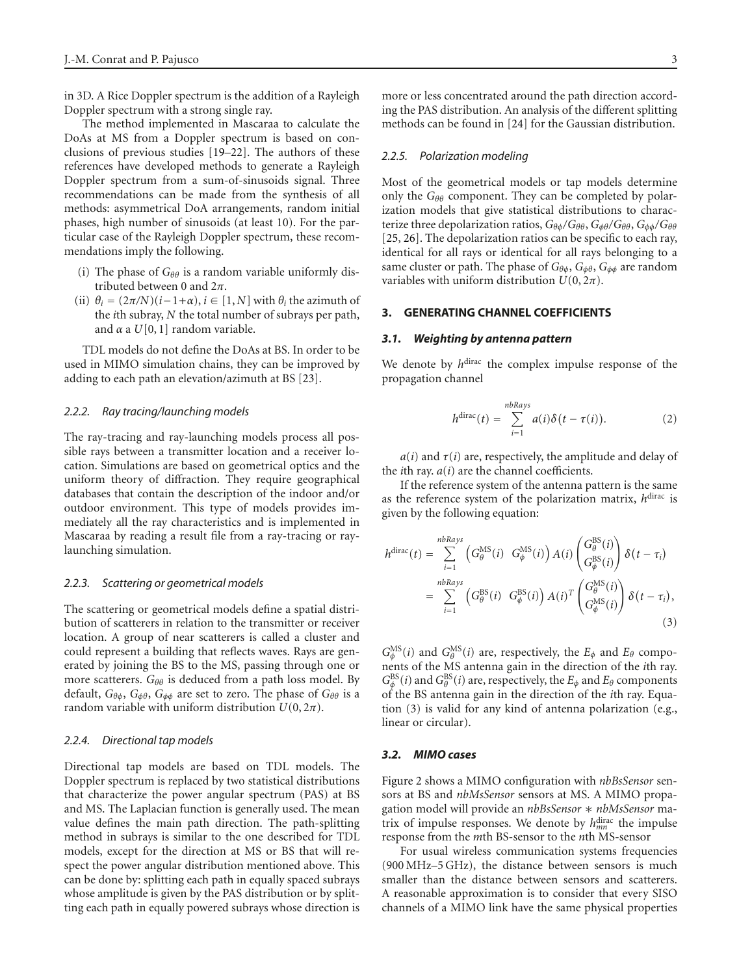in 3D. A Rice Doppler spectrum is the addition of a Rayleigh Doppler spectrum with a strong single ray.

The method implemented in Mascaraa to calculate the DoAs at MS from a Doppler spectrum is based on conclusions of previous studies [\[19](#page-11-17)[–22](#page-11-18)]. The authors of these references have developed methods to generate a Rayleigh Doppler spectrum from a sum-of-sinusoids signal. Three recommendations can be made from the synthesis of all methods: asymmetrical DoA arrangements, random initial phases, high number of sinusoids (at least 10). For the particular case of the Rayleigh Doppler spectrum, these recommendations imply the following.

- (i) The phase of *Gθθ* is a random variable uniformly distributed between 0 and 2*π*.
- (ii)  $\theta_i = (2\pi/N)(i-1+\alpha), i \in [1, N]$  with  $\theta_i$  the azimuth of the *i*th subray, *N* the total number of subrays per path, and  $\alpha$  a  $U[0, 1]$  random variable.

TDL models do not define the DoAs at BS. In order to be used in MIMO simulation chains, they can be improved by adding to each path an elevation/azimuth at BS [\[23](#page-11-19)].

#### *2.2.2. Ray tracing/launching models*

The ray-tracing and ray-launching models process all possible rays between a transmitter location and a receiver location. Simulations are based on geometrical optics and the uniform theory of diffraction. They require geographical databases that contain the description of the indoor and/or outdoor environment. This type of models provides immediately all the ray characteristics and is implemented in Mascaraa by reading a result file from a ray-tracing or raylaunching simulation.

#### *2.2.3. Scattering or geometrical models*

The scattering or geometrical models define a spatial distribution of scatterers in relation to the transmitter or receiver location. A group of near scatterers is called a cluster and could represent a building that reflects waves. Rays are generated by joining the BS to the MS, passing through one or more scatterers. *Gθθ* is deduced from a path loss model. By default, *Gθφ*, *Gφθ*, *Gφφ* are set to zero. The phase of *Gθθ* is a random variable with uniform distribution  $U(0, 2\pi)$ .

#### *2.2.4. Directional tap models*

Directional tap models are based on TDL models. The Doppler spectrum is replaced by two statistical distributions that characterize the power angular spectrum (PAS) at BS and MS. The Laplacian function is generally used. The mean value defines the main path direction. The path-splitting method in subrays is similar to the one described for TDL models, except for the direction at MS or BS that will respect the power angular distribution mentioned above. This can be done by: splitting each path in equally spaced subrays whose amplitude is given by the PAS distribution or by splitting each path in equally powered subrays whose direction is

more or less concentrated around the path direction according the PAS distribution. An analysis of the different splitting

#### *2.2.5. Polarization modeling*

Most of the geometrical models or tap models determine only the *Gθθ* component. They can be completed by polarization models that give statistical distributions to characterize three depolarization ratios, *Gθφ/Gθθ*, *Gφθ/Gθθ*, *Gφφ/Gθθ* [\[25](#page-12-1), [26](#page-12-2)]. The depolarization ratios can be specific to each ray, identical for all rays or identical for all rays belonging to a same cluster or path. The phase of *Gθφ*, *Gφθ*, *Gφφ* are random variables with uniform distribution  $U(0, 2\pi)$ .

methods can be found in [\[24](#page-12-0)] for the Gaussian distribution.

# <span id="page-2-1"></span>**3. GENERATING CHANNEL COEFFICIENTS**

## *3.1. Weighting by antenna pattern*

We denote by *h*<sup>dirac</sup> the complex impulse response of the propagation channel

$$
h^{\text{dirac}}(t) = \sum_{i=1}^{nbRays} a(i)\delta(t-\tau(i)). \tag{2}
$$

 $a(i)$  and  $\tau(i)$  are, respectively, the amplitude and delay of the *i*th ray. *a*(*i*) are the channel coefficients.

If the reference system of the antenna pattern is the same as the reference system of the polarization matrix, *h*dirac is given by the following equation:

<span id="page-2-0"></span>
$$
h^{\text{dirac}}(t) = \sum_{i=1}^{nbRays} \left( G_{\theta}^{\text{MS}}(i) \ G_{\phi}^{\text{MS}}(i) \right) A(i) \begin{pmatrix} G_{\theta}^{\text{BS}}(i) \\ G_{\phi}^{\text{BS}}(i) \end{pmatrix} \delta(t - \tau_i)
$$
  
= 
$$
\sum_{i=1}^{nbRays} \left( G_{\theta}^{\text{BS}}(i) \ G_{\phi}^{\text{BS}}(i) \right) A(i)^{T} \begin{pmatrix} G_{\theta}^{\text{MS}}(i) \\ G_{\phi}^{\text{MS}}(i) \end{pmatrix} \delta(t - \tau_i),
$$
  
(3)

 $G_{\phi}^{\text{MS}}(i)$  and  $G_{\theta}^{\text{MS}}(i)$  are, respectively, the  $E_{\phi}$  and  $E_{\theta}$  compo-<br>pents of the MS antenna gain in the direction of the *i*th ray nents of the MS antenna gain in the direction of the *i*th ray.  $G_{\phi}^{\text{BS}}(i)$  and  $G_{\theta}^{\text{BS}}(i)$  are, respectively, the  $E_{\phi}$  and  $E_{\theta}$  components of the *BS* antenna gain in the direction of the *i*th ray. Fourof the BS antenna gain in the direction of the *i*th ray. Equation [\(3\)](#page-2-0) is valid for any kind of antenna polarization (e.g., linear or circular).

## *3.2. MIMO cases*

[Figure 2](#page-3-1) shows a MIMO configuration with *nbBsSensor* sensors at BS and *nbMsSensor* sensors at MS. A MIMO propagation model will provide an *nbBsSensor* ∗ *nbMsSensor* matrix of impulse responses. We denote by  $h_{mn}^{\text{dirac}}$  the impulse<br>response from the *m*th BS-sensor to the *n*th MS-sensor response from the *m*th BS-sensor to the *n*th MS-sensor

For usual wireless communication systems frequencies (900 MHz–5 GHz), the distance between sensors is much smaller than the distance between sensors and scatterers. A reasonable approximation is to consider that every SISO channels of a MIMO link have the same physical properties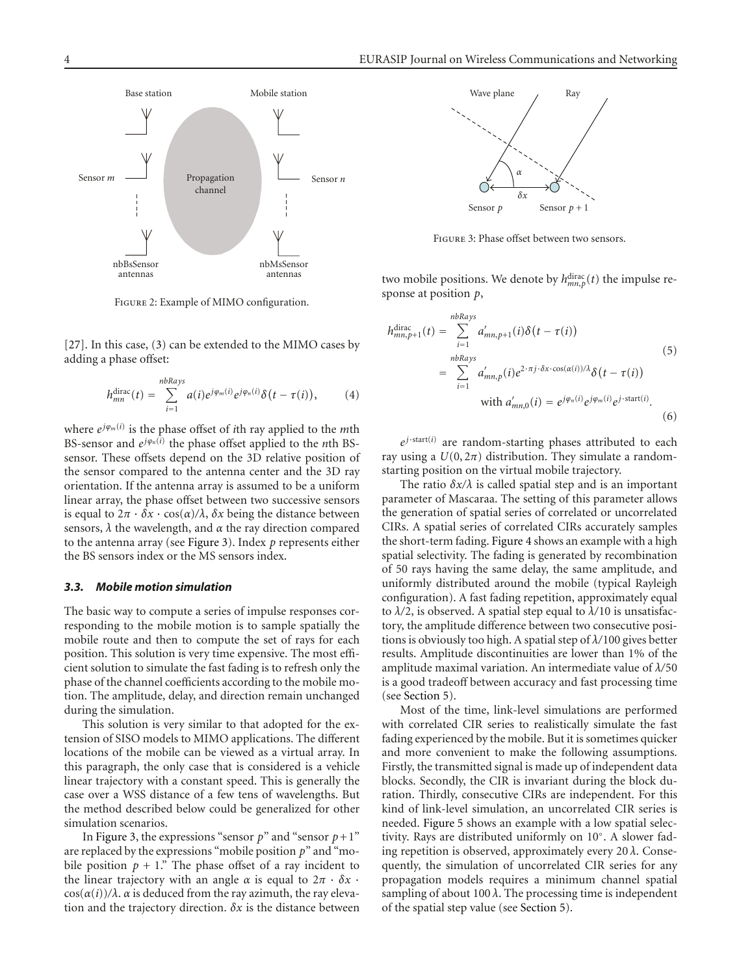

Figure 2: Example of MIMO configuration.

<span id="page-3-1"></span>[\[27](#page-12-3)]. In this case, [\(3\)](#page-2-0) can be extended to the MIMO cases by adding a phase offset:

$$
h_{mn}^{\text{dirac}}(t) = \sum_{i=1}^{nbRays} a(i)e^{j\varphi_m(i)}e^{j\varphi_n(i)}\delta(t-\tau(i)), \qquad (4)
$$

where *<sup>e</sup>jϕm*(*i*) is the phase offset of *i*th ray applied to the *m*th BS-sensor and  $e^{j\varphi_n(\vec{i})}$  the phase offset applied to the *n*th BSsensor. These offsets depend on the 3D relative position of the sensor compared to the antenna center and the 3D ray orientation. If the antenna array is assumed to be a uniform linear array, the phase offset between two successive sensors is equal to  $2π · δx · cos(α)/λ$ ,  $δx$  being the distance between sensors, *λ* the wavelength, and *α* the ray direction compared to the antenna array (see [Figure 3\)](#page-3-2). Index *p* represents either the BS sensors index or the MS sensors index.

#### <span id="page-3-0"></span>*3.3. Mobile motion simulation*

The basic way to compute a series of impulse responses corresponding to the mobile motion is to sample spatially the mobile route and then to compute the set of rays for each position. This solution is very time expensive. The most efficient solution to simulate the fast fading is to refresh only the phase of the channel coefficients according to the mobile motion. The amplitude, delay, and direction remain unchanged during the simulation.

This solution is very similar to that adopted for the extension of SISO models to MIMO applications. The different locations of the mobile can be viewed as a virtual array. In this paragraph, the only case that is considered is a vehicle linear trajectory with a constant speed. This is generally the case over a WSS distance of a few tens of wavelengths. But the method described below could be generalized for other simulation scenarios.

In [Figure 3,](#page-3-2) the expressions "sensor  $p$ " and "sensor  $p+1$ " are replaced by the expressions "mobile position *p*" and "mobile position  $p + 1$ ." The phase offset of a ray incident to the linear trajectory with an angle  $\alpha$  is equal to  $2\pi \cdot \delta x$ .  $cos(\alpha(i))/\lambda$ .  $\alpha$  is deduced from the ray azimuth, the ray elevation and the trajectory direction. *δx* is the distance between



<span id="page-3-4"></span>Figure 3: Phase offset between two sensors.

<span id="page-3-2"></span>two mobile positions. We denote by  $h_{mn,p}^{\text{dirac}}(t)$  the impulse response at position  $p$ . sponse at position *p*,

$$
h_{mn,p+1}^{\text{dirac}}(t) = \sum_{i=1}^{nbRays} a'_{mn,p+1}(i)\delta(t-\tau(i))
$$
\n
$$
= \sum_{i=1}^{nbRays} a'_{mn,p}(i)e^{2\cdot\pi j \cdot \delta x \cdot \cos(\alpha(i))/\lambda} \delta(t-\tau(i))
$$
\nwith  $a'_{mn,0}(i) = e^{j\varphi_n(i)}e^{j\varphi_m(i)}e^{j\cdot \text{start}(i)}$ . (6)

<span id="page-3-3"></span> $e^{j \cdot \text{start}(i)}$  are random-starting phases attributed to each ray using a  $U(0, 2\pi)$  distribution. They simulate a randomstarting position on the virtual mobile trajectory.

The ratio  $\delta x/\lambda$  is called spatial step and is an important parameter of Mascaraa. The setting of this parameter allows the generation of spatial series of correlated or uncorrelated CIRs. A spatial series of correlated CIRs accurately samples the short-term fading. [Figure 4](#page-4-0) shows an example with a high spatial selectivity. The fading is generated by recombination of 50 rays having the same delay, the same amplitude, and uniformly distributed around the mobile (typical Rayleigh configuration). A fast fading repetition, approximately equal to  $\lambda/2$ , is observed. A spatial step equal to  $\lambda/10$  is unsatisfactory, the amplitude difference between two consecutive positions is obviously too high. A spatial step of *λ/*100 gives better results. Amplitude discontinuities are lower than 1% of the amplitude maximal variation. An intermediate value of *λ/*<sup>50</sup> is a good tradeoff between accuracy and fast processing time (see [Section 5\)](#page-6-0).

Most of the time, link-level simulations are performed with correlated CIR series to realistically simulate the fast fading experienced by the mobile. But it is sometimes quicker and more convenient to make the following assumptions. Firstly, the transmitted signal is made up of independent data blocks. Secondly, the CIR is invariant during the block duration. Thirdly, consecutive CIRs are independent. For this kind of link-level simulation, an uncorrelated CIR series is needed. [Figure 5](#page-4-1) shows an example with a low spatial selectivity. Rays are distributed uniformly on 10◦. A slower fading repetition is observed, approximately every 20 *λ*. Consequently, the simulation of uncorrelated CIR series for any propagation models requires a minimum channel spatial sampling of about 100 *λ*. The processing time is independent of the spatial step value (see [Section 5\)](#page-6-0).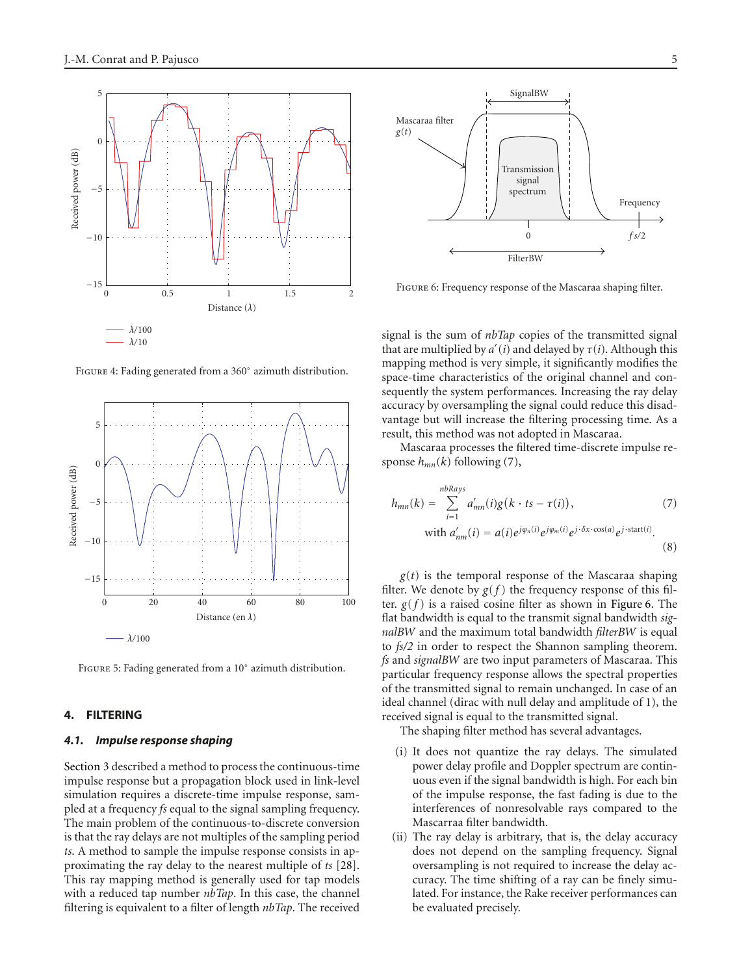

Figure 4: Fading generated from a 360◦ azimuth distribution.

<span id="page-4-0"></span>

<span id="page-4-1"></span>Figure 5: Fading generated from a 10◦ azimuth distribution.

### <span id="page-4-5"></span><span id="page-4-4"></span>**4. FILTERING**

#### *4.1. Impulse response shaping*

[Section 3](#page-2-1) described a method to process the continuous-time impulse response but a propagation block used in link-level simulation requires a discrete-time impulse response, sampled at a frequency *fs* equal to the signal sampling frequency. The main problem of the continuous-to-discrete conversion is that the ray delays are not multiples of the sampling period *ts*. A method to sample the impulse response consists in approximating the ray delay to the nearest multiple of *ts* [\[28](#page-12-4)]. This ray mapping method is generally used for tap models with a reduced tap number *nbTap*. In this case, the channel filtering is equivalent to a filter of length *nbTap*. The received



<span id="page-4-3"></span>Figure 6: Frequency response of the Mascaraa shaping filter.

signal is the sum of *nbTap* copies of the transmitted signal that are multiplied by  $a'(i)$  and delayed by  $\tau(i)$ . Although this manning method is very simple, it significantly modifies the mapping method is very simple, it significantly modifies the space-time characteristics of the original channel and consequently the system performances. Increasing the ray delay accuracy by oversampling the signal could reduce this disadvantage but will increase the filtering processing time. As a result, this method was not adopted in Mascaraa.

Mascaraa processes the filtered time-discrete impulse response *hmn*(*k*) following [\(7\)](#page-4-2),

<span id="page-4-2"></span>
$$
h_{mn}(k) = \sum_{i=1}^{nbRays} a'_{mn}(i)g(k \cdot ts - \tau(i)),
$$
\n
$$
\text{with } a'_{nm}(i) = a(i)e^{j\varphi_n(i)}e^{j\varphi_m(i)}e^{j \cdot \delta x \cdot \cos(a)}e^{j \cdot \text{start}(i)}.
$$
\n
$$
(8)
$$

 $g(t)$  is the temporal response of the Mascaraa shaping filter. We denote by  $g(f)$  the frequency response of this filter.  $g(f)$  is a raised cosine filter as shown in [Figure 6.](#page-4-3) The flat bandwidth is equal to the transmit signal bandwidth *signalBW* and the maximum total bandwidth *filterBW* is equal to *fs/2* in order to respect the Shannon sampling theorem. *fs* and *signalBW* are two input parameters of Mascaraa. This particular frequency response allows the spectral properties of the transmitted signal to remain unchanged. In case of an ideal channel (dirac with null delay and amplitude of 1), the received signal is equal to the transmitted signal.

The shaping filter method has several advantages.

- (i) It does not quantize the ray delays. The simulated power delay profile and Doppler spectrum are continuous even if the signal bandwidth is high. For each bin of the impulse response, the fast fading is due to the interferences of nonresolvable rays compared to the Mascarraa filter bandwidth.
- (ii) The ray delay is arbitrary, that is, the delay accuracy does not depend on the sampling frequency. Signal oversampling is not required to increase the delay accuracy. The time shifting of a ray can be finely simulated. For instance, the Rake receiver performances can be evaluated precisely.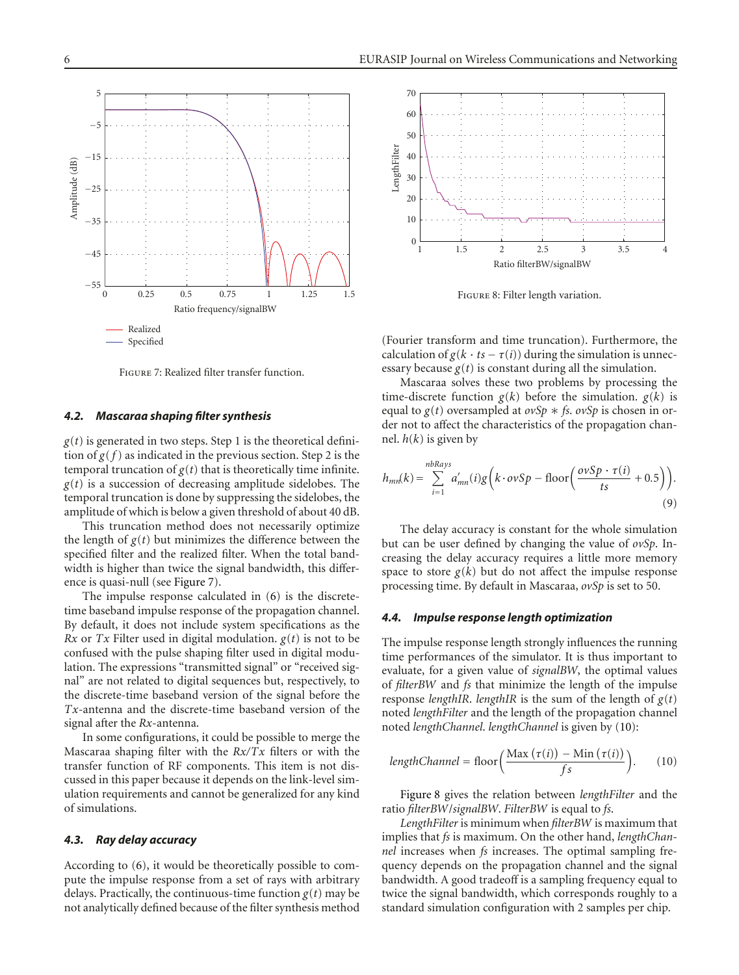

Figure 7: Realized filter transfer function.

## <span id="page-5-0"></span>*4.2. Mascaraa shaping filter synthesis*

 $g(t)$  is generated in two steps. Step 1 is the theoretical definition of  $g(f)$  as indicated in the previous section. Step 2 is the temporal truncation of  $g(t)$  that is theoretically time infinite.  $g(t)$  is a succession of decreasing amplitude sidelobes. The temporal truncation is done by suppressing the sidelobes, the amplitude of which is below a given threshold of about 40 dB.

This truncation method does not necessarily optimize the length of  $g(t)$  but minimizes the difference between the specified filter and the realized filter. When the total bandwidth is higher than twice the signal bandwidth, this difference is quasi-null (see [Figure 7\)](#page-5-0).

The impulse response calculated in [\(6\)](#page-3-3) is the discretetime baseband impulse response of the propagation channel. By default, it does not include system specifications as the *Rx* or *Tx* Filter used in digital modulation.  $g(t)$  is not to be confused with the pulse shaping filter used in digital modulation. The expressions "transmitted signal" or "received signal" are not related to digital sequences but, respectively, to the discrete-time baseband version of the signal before the *Tx*-antenna and the discrete-time baseband version of the signal after the *Rx*-antenna.

In some configurations, it could be possible to merge the Mascaraa shaping filter with the *Rx/Tx* filters or with the transfer function of RF components. This item is not discussed in this paper because it depends on the link-level simulation requirements and cannot be generalized for any kind of simulations.

## *4.3. Ray delay accuracy*

According to [\(6\)](#page-3-3), it would be theoretically possible to compute the impulse response from a set of rays with arbitrary delays. Practically, the continuous-time function  $g(t)$  may be not analytically defined because of the filter synthesis method



<span id="page-5-2"></span>Figure 8: Filter length variation.

(Fourier transform and time truncation). Furthermore, the calculation of  $g(k \cdot ts - \tau(i))$  during the simulation is unnecessary because  $g(t)$  is constant during all the simulation.

Mascaraa solves these two problems by processing the time-discrete function  $g(k)$  before the simulation.  $g(k)$  is equal to  $g(t)$  oversampled at  $ovSp * fs$ .  $ovSp$  is chosen in order not to affect the characteristics of the propagation channel.  $h(k)$  is given by

$$
h_{mn}(k) = \sum_{i=1}^{nbRays} a'_{mn}(i)g\left(k \cdot ovSp - \text{floor}\left(\frac{ovSp \cdot \tau(i)}{ts} + 0.5\right)\right).
$$
\n(9)

The delay accuracy is constant for the whole simulation but can be user defined by changing the value of *ovSp*. Increasing the delay accuracy requires a little more memory space to store  $g(k)$  but do not affect the impulse response processing time. By default in Mascaraa, *ovSp* is set to 50.

#### *4.4. Impulse response length optimization*

The impulse response length strongly influences the running time performances of the simulator. It is thus important to evaluate, for a given value of *signalBW*, the optimal values of *filterBW* and *fs* that minimize the length of the impulse response *lengthIR*. *lengthIR* is the sum of the length of  $g(t)$ noted *lengthFilter* and the length of the propagation channel noted *lengthChannel*. *lengthChannel* is given by [\(10\)](#page-5-1):

<span id="page-5-1"></span>
$$
lengthChannel = floor\left(\frac{\text{Max}(\tau(i)) - \text{Min}(\tau(i))}{fs}\right). \tag{10}
$$

[Figure 8](#page-5-2) gives the relation between *lengthFilter* and the ratio *filterBW*/*signalBW*. *FilterBW* is equal to *fs*.

*LengthFilter* is minimum when *filterBW* is maximum that implies that *fs* is maximum. On the other hand, *lengthChannel* increases when *fs* increases. The optimal sampling frequency depends on the propagation channel and the signal bandwidth. A good tradeoff is a sampling frequency equal to twice the signal bandwidth, which corresponds roughly to a standard simulation configuration with 2 samples per chip.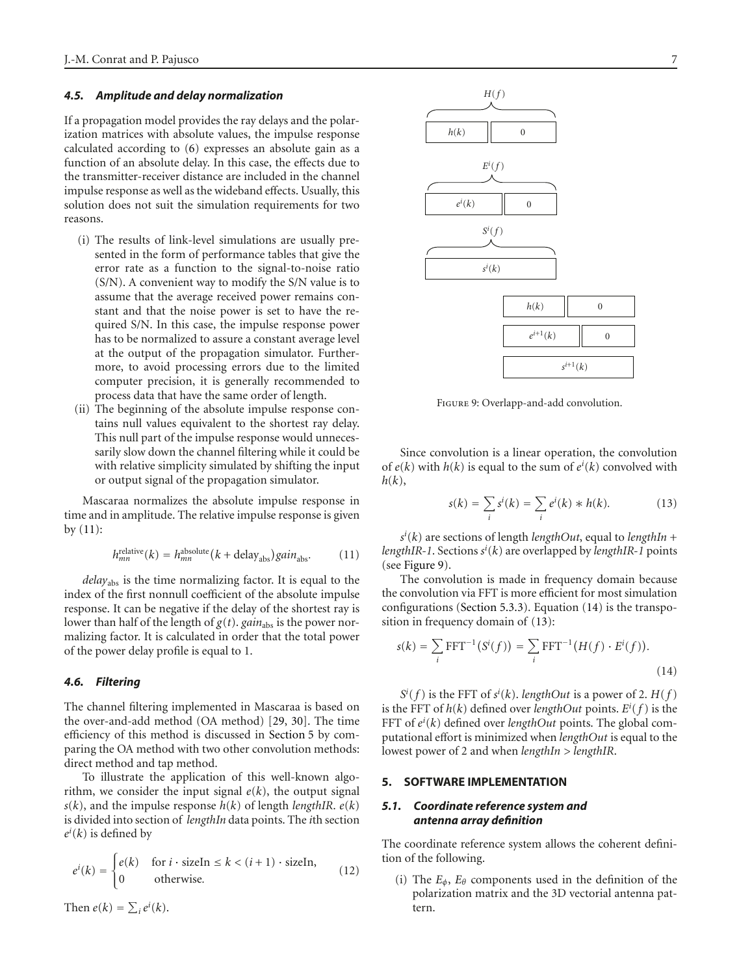## *4.5. Amplitude and delay normalization*

If a propagation model provides the ray delays and the polarization matrices with absolute values, the impulse response calculated according to [\(6\)](#page-3-3) expresses an absolute gain as a function of an absolute delay. In this case, the effects due to the transmitter-receiver distance are included in the channel impulse response as well as the wideband effects. Usually, this solution does not suit the simulation requirements for two reasons.

- (i) The results of link-level simulations are usually presented in the form of performance tables that give the error rate as a function to the signal-to-noise ratio (S/N). A convenient way to modify the S/N value is to assume that the average received power remains constant and that the noise power is set to have the required S/N. In this case, the impulse response power has to be normalized to assure a constant average level at the output of the propagation simulator. Furthermore, to avoid processing errors due to the limited computer precision, it is generally recommended to process data that have the same order of length.
- (ii) The beginning of the absolute impulse response contains null values equivalent to the shortest ray delay. This null part of the impulse response would unnecessarily slow down the channel filtering while it could be with relative simplicity simulated by shifting the input or output signal of the propagation simulator.

Mascaraa normalizes the absolute impulse response in time and in amplitude. The relative impulse response is given  $by (11):$  $by (11):$  $by (11):$ 

$$
h_{mn}^{\text{relative}}(k) = h_{mn}^{\text{absolute}}(k + \text{delay}_{\text{abs}}) gain_{\text{abs}}.\tag{11}
$$

*delay*abs is the time normalizing factor. It is equal to the index of the first nonnull coefficient of the absolute impulse response. It can be negative if the delay of the shortest ray is lower than half of the length of  $g(t)$ .  $gain<sub>abs</sub>$  is the power normalizing factor. It is calculated in order that the total power of the power delay profile is equal to 1.

## <span id="page-6-5"></span>*4.6. Filtering*

The channel filtering implemented in Mascaraa is based on the over-and-add method (OA method) [\[29](#page-12-5), [30](#page-12-6)]. The time efficiency of this method is discussed in [Section 5](#page-6-0) by comparing the OA method with two other convolution methods: direct method and tap method.

To illustrate the application of this well-known algorithm, we consider the input signal  $e(k)$ , the output signal  $s(k)$ , and the impulse response  $h(k)$  of length *lengthIR*.  $e(k)$ is divided into section of *lengthIn* data points. The *i*th section  $e^{i}(k)$  is defined by

$$
e^{i}(k) = \begin{cases} e(k) & \text{for } i \cdot \text{sizeIn} \le k < (i+1) \cdot \text{sizeIn}, \\ 0 & \text{otherwise.} \end{cases} \tag{12}
$$



Figure 9: Overlapp-and-add convolution.

<span id="page-6-2"></span>Since convolution is a linear operation, the convolution of  $e(k)$  with  $h(k)$  is equal to the sum of  $e^{i}(k)$  convolved with  $h(k)$ *h*(*k*),

<span id="page-6-4"></span>
$$
s(k) = \sum_{i} s^{i}(k) = \sum_{i} e^{i}(k) * h(k).
$$
 (13)

<span id="page-6-1"></span> $s(k)$  are sections of length *lengthOut*, equal to *lengthIR-1*<br> *lengthIR-1*. Sections  $s^i(k)$  are overlapped by *lengthIR-1* points<br>
(see Figure 9) (*k*) are sections of length *lengthOut*, equal to *lengthIn* <sup>+</sup> (see [Figure 9\)](#page-6-2).

The convolution is made in frequency domain because the convolution via FFT is more efficient for most simulation configurations [\(Section 5.3.3\)](#page-9-0). Equation [\(14\)](#page-6-3) is the transposition in frequency domain of [\(13\)](#page-6-4):

<span id="page-6-3"></span>
$$
s(k) = \sum_{i} \text{FFT}^{-1}(S^{i}(f)) = \sum_{i} \text{FFT}^{-1}(H(f) \cdot E^{i}(f)).
$$
\n(14)

is the FFT of *h*(*k*) defined over *lengthOut* points.  $E^i(f)$  is the FFT of *h*(*k*) defined over *lengthOut* points. The global com-(*f*) is the FFT of  $s^i(k)$ . *lengthOut* is a power of 2.  $H(f)$ <br>FFT of  $h(k)$  defined over *lengthOut* points  $F^i(f)$  is the FFT of  $e^{i}(k)$  defined over *lengthOut* points. The global com-<br>putational effort is minimized when *lengthOut* is equal to the putational effort is minimized when *lengthOut* is equal to the lowest power of 2 and when *lengthIn > lengthIR*.

#### <span id="page-6-0"></span>**5. SOFTWARE IMPLEMENTATION**

# *5.1. Coordinate reference system and antenna array definition*

The coordinate reference system allows the coherent definition of the following.

(i) The  $E_{\phi}$ ,  $E_{\theta}$  components used in the definition of the polarization matrix and the 3D vectorial antenna pattern.

Then  $e(k) = \sum_i e^i(k)$ .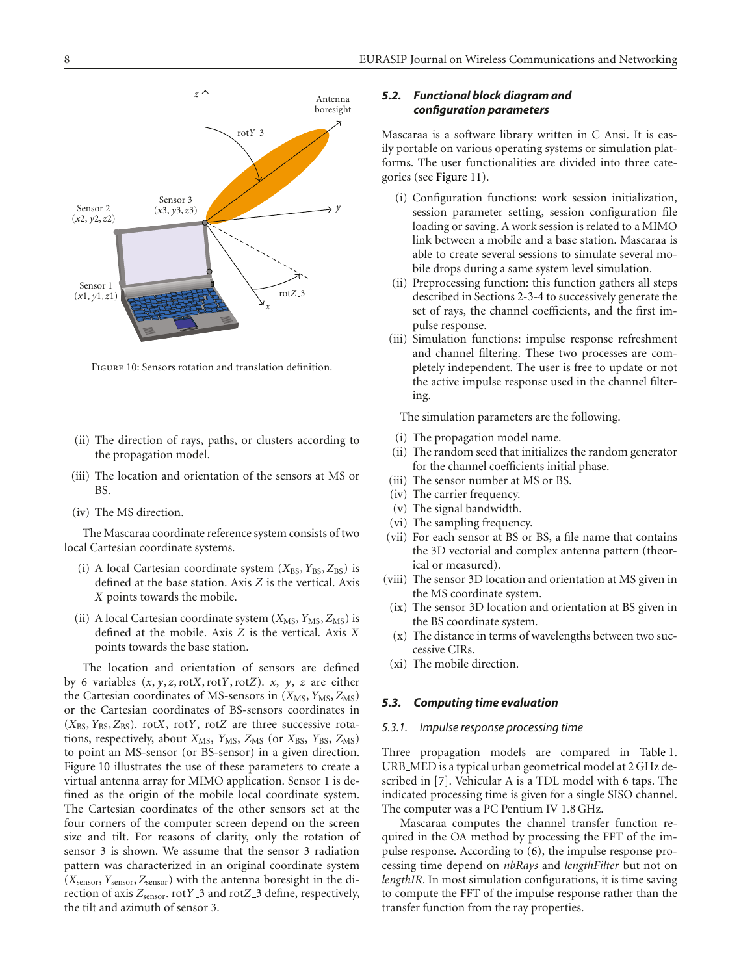

<span id="page-7-0"></span>Figure 10: Sensors rotation and translation definition.

- (ii) The direction of rays, paths, or clusters according to the propagation model.
- (iii) The location and orientation of the sensors at MS or BS.
- (iv) The MS direction.

The Mascaraa coordinate reference system consists of two local Cartesian coordinate systems.

- (i) A local Cartesian coordinate system ( $X_{BS}$ ,  $Y_{BS}$ ,  $Z_{BS}$ ) is defined at the base station. Axis *Z* is the vertical. Axis *X* points towards the mobile.
- (ii) A local Cartesian coordinate system  $(X_{MS}, Y_{MS}, Z_{MS})$  is defined at the mobile. Axis *Z* is the vertical. Axis *X* points towards the base station.

The location and orientation of sensors are defined by 6 variables (*x*, *y*, *z*, rot*X*, rot*Y*, rot*Z*). *x*, *y*, *z* are either the Cartesian coordinates of MS-sensors in ( $X_{MS}$ ,  $Y_{MS}$ ,  $Z_{MS}$ ) or the Cartesian coordinates of BS-sensors coordinates in (*X*BS,*Y*BS, *Z*BS). rot*X*, rot*Y*, rot*Z* are three successive rotations, respectively, about *X*<sub>MS</sub>, *Y*<sub>MS</sub>, *Z*<sub>MS</sub> (or *X*<sub>BS</sub>, *Y*<sub>BS</sub>, *Z*<sub>MS</sub>) to point an MS-sensor (or BS-sensor) in a given direction. [Figure 10](#page-7-0) illustrates the use of these parameters to create a virtual antenna array for MIMO application. Sensor 1 is defined as the origin of the mobile local coordinate system. The Cartesian coordinates of the other sensors set at the four corners of the computer screen depend on the screen size and tilt. For reasons of clarity, only the rotation of sensor 3 is shown. We assume that the sensor 3 radiation pattern was characterized in an original coordinate system (*X*sensor,*Y*sensor, *Z*sensor) with the antenna boresight in the direction of axis *<sup>Z</sup>*sensor. rot*Y* 3 and rot*Z* 3 define, respectively, the tilt and azimuth of sensor 3.

## *5.2. Functional block diagram and configuration parameters*

Mascaraa is a software library written in C Ansi. It is easily portable on various operating systems or simulation platforms. The user functionalities are divided into three categories (see [Figure 11\)](#page-8-0).

- (i) Configuration functions: work session initialization, session parameter setting, session configuration file loading or saving. A work session is related to a MIMO link between a mobile and a base station. Mascaraa is able to create several sessions to simulate several mobile drops during a same system level simulation.
- (ii) Preprocessing function: this function gathers all steps described in Sections [2-](#page-1-1)[3](#page-2-1)[-4](#page-4-4) to successively generate the set of rays, the channel coefficients, and the first impulse response.
- (iii) Simulation functions: impulse response refreshment and channel filtering. These two processes are completely independent. The user is free to update or not the active impulse response used in the channel filtering.

The simulation parameters are the following.

- (i) The propagation model name.
- (ii) The random seed that initializes the random generator for the channel coefficients initial phase.
- (iii) The sensor number at MS or BS.
- (iv) The carrier frequency.
- (v) The signal bandwidth.
- (vi) The sampling frequency.
- (vii) For each sensor at BS or BS, a file name that contains the 3D vectorial and complex antenna pattern (theorical or measured).
- (viii) The sensor 3D location and orientation at MS given in the MS coordinate system.
- (ix) The sensor 3D location and orientation at BS given in the BS coordinate system.
- (x) The distance in terms of wavelengths between two successive CIRs.
- (xi) The mobile direction.

## *5.3. Computing time evaluation*

#### *5.3.1. Impulse response processing time*

Three propagation models are compared in [Table 1.](#page-8-1) URB MED is a typical urban geometrical model at 2 GHz described in [\[7\]](#page-11-7). Vehicular A is a TDL model with 6 taps. The indicated processing time is given for a single SISO channel. The computer was a PC Pentium IV 1.8 GHz.

Mascaraa computes the channel transfer function required in the OA method by processing the FFT of the impulse response. According to [\(6\)](#page-3-3), the impulse response processing time depend on *nbRays* and *lengthFilter* but not on *lengthIR*. In most simulation configurations, it is time saving to compute the FFT of the impulse response rather than the transfer function from the ray properties.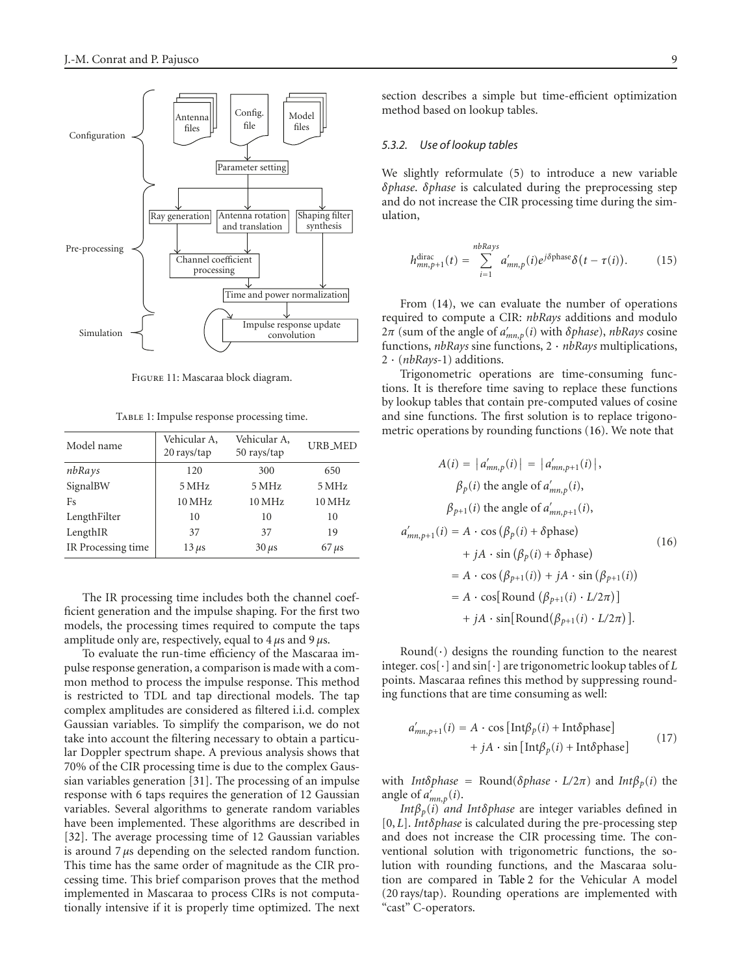

Figure 11: Mascaraa block diagram.

<span id="page-8-0"></span>TABLE 1: Impulse response processing time.

<span id="page-8-1"></span>

| Model name         | Vehicular A,<br>20 rays/tap | Vehicular A,<br>50 rays/tap | <b>URB_MED</b> |  |
|--------------------|-----------------------------|-----------------------------|----------------|--|
| nbRays             | 120                         | 300                         | 650            |  |
| SignalBW           | 5 MHz                       | 5 MHz                       | 5 MHz          |  |
| Fs                 | 10 MHz                      | 10 MHz                      | 10 MHz         |  |
| LengthFilter       | 10                          | 10                          | 10             |  |
| LengthIR           | 37                          | 37                          | 19             |  |
| IR Processing time | $13 \mu s$                  | $30 \mu s$                  | $67 \mu s$     |  |

The IR processing time includes both the channel coefficient generation and the impulse shaping. For the first two models, the processing times required to compute the taps amplitude only are, respectively, equal to 4 *μ*s and 9 *μ*s.

To evaluate the run-time efficiency of the Mascaraa impulse response generation, a comparison is made with a common method to process the impulse response. This method is restricted to TDL and tap directional models. The tap complex amplitudes are considered as filtered i.i.d. complex Gaussian variables. To simplify the comparison, we do not take into account the filtering necessary to obtain a particular Doppler spectrum shape. A previous analysis shows that 70% of the CIR processing time is due to the complex Gaussian variables generation [\[31\]](#page-12-7). The processing of an impulse response with 6 taps requires the generation of 12 Gaussian variables. Several algorithms to generate random variables have been implemented. These algorithms are described in [\[32](#page-12-8)]. The average processing time of 12 Gaussian variables is around 7 *μ*s depending on the selected random function. This time has the same order of magnitude as the CIR processing time. This brief comparison proves that the method implemented in Mascaraa to process CIRs is not computationally intensive if it is properly time optimized. The next

section describes a simple but time-efficient optimization method based on lookup tables.

#### *5.3.2. Use of lookup tables*

We slightly reformulate [\(5\)](#page-3-4) to introduce a new variable *δphase*. *δphase* is calculated during the preprocessing step and do not increase the CIR processing time during the simulation,

$$
h_{mn,p+1}^{\text{dirac}}(t) = \sum_{i=1}^{nbRays} a'_{mn,p}(i)e^{j\delta \text{phase}} \delta(t-\tau(i)). \tag{15}
$$

From [\(14\)](#page-6-3), we can evaluate the number of operations required to compute a CIR: *nbRays* additions and modulo <sup>2</sup>*π* (sum of the angle of *a mn*,*p*(*i*) with *<sup>δ</sup>phase*), *nbRays* cosine functions, *nbRays* sine functions, 2 · *nbRays* multiplications, 2 · (*nbRays*-1) additions.

Trigonometric operations are time-consuming functions. It is therefore time saving to replace these functions by lookup tables that contain pre-computed values of cosine and sine functions. The first solution is to replace trigonometric operations by rounding functions [\(16\)](#page-8-2). We note that

<span id="page-8-2"></span>
$$
A(i) = |a'_{mn,p}(i)| = |a'_{mn,p+1}(i)|,
$$
  
\n
$$
\beta_p(i)
$$
 the angle of  $a'_{mn,p}(i)$ ,  
\n
$$
\beta_{p+1}(i)
$$
 the angle of  $a'_{mn,p+1}(i)$ ,  
\n
$$
a'_{mn,p+1}(i) = A \cdot \cos (\beta_p(i) + \delta \text{phase})
$$
  
\n
$$
+ jA \cdot \sin (\beta_p(i) + \delta \text{phase})
$$
  
\n
$$
= A \cdot \cos (\beta_{p+1}(i)) + jA \cdot \sin (\beta_{p+1}(i))
$$
  
\n
$$
= A \cdot \cos[\text{Round}(\beta_{p+1}(i) \cdot L/2\pi)]
$$
  
\n
$$
+ jA \cdot \sin[\text{Round}(\beta_{p+1}(i) \cdot L/2\pi)].
$$

Round $(\cdot)$  designs the rounding function to the nearest integer. cos[·] and sin[·] are trigonometric lookup tables of *L* points. Mascaraa refines this method by suppressing rounding functions that are time consuming as well:

$$
a'_{mn,p+1}(i) = A \cdot \cos\left[\text{Int}\beta_p(i) + \text{Int}\delta\text{phase}\right] + jA \cdot \sin\left[\text{Int}\beta_p(i) + \text{Int}\delta\text{phase}\right]
$$
 (17)

with *Intδphase* = Round(*δphase* ·  $L/2\pi$ ) and *Intβ<sub>p</sub>*(*i*) the angle of  $a'_{mn,p}(i)$ .<br>*Int* $B_n(i)$  and

*Intβp*(*i*) *and Intδphase* are integer variables defined in [0, *L*]. *Intδphase* is calculated during the pre-processing step and does not increase the CIR processing time. The conventional solution with trigonometric functions, the solution with rounding functions, and the Mascaraa solution are compared in [Table 2](#page-9-1) for the Vehicular A model (20 rays/tap). Rounding operations are implemented with "cast" C-operators.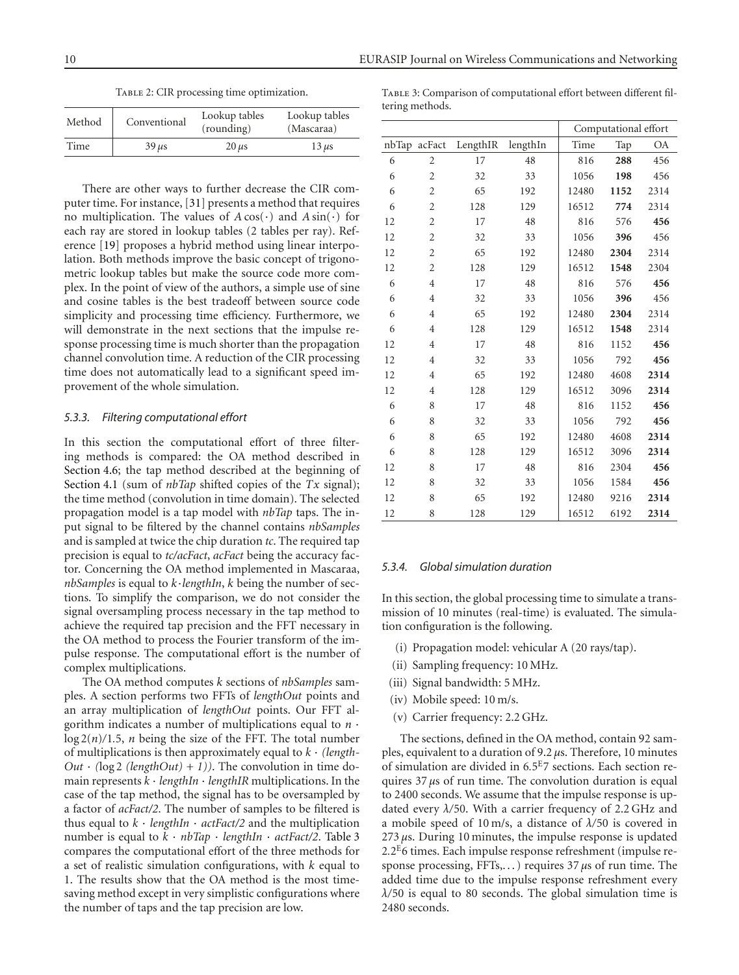TABLE 2: CIR processing time optimization.

<span id="page-9-1"></span>

| Method | Conventional | Lookup tables<br>(rounding) | Lookup tables<br>(Mascaraa) |
|--------|--------------|-----------------------------|-----------------------------|
| Time   | $39 \mu s$   | $20 \mu s$                  | $13 \mu s$                  |

There are other ways to further decrease the CIR computer time. For instance, [\[31](#page-12-7)] presents a method that requires no multiplication. The values of  $A\cos(\cdot)$  and  $A\sin(\cdot)$  for each ray are stored in lookup tables (2 tables per ray). Reference [\[19\]](#page-11-17) proposes a hybrid method using linear interpolation. Both methods improve the basic concept of trigonometric lookup tables but make the source code more complex. In the point of view of the authors, a simple use of sine and cosine tables is the best tradeoff between source code simplicity and processing time efficiency. Furthermore, we will demonstrate in the next sections that the impulse response processing time is much shorter than the propagation channel convolution time. A reduction of the CIR processing time does not automatically lead to a significant speed improvement of the whole simulation.

### <span id="page-9-0"></span>*5.3.3. Filtering computational effort*

In this section the computational effort of three filtering methods is compared: the OA method described in [Section 4.6;](#page-6-5) the tap method described at the beginning of [Section 4.1](#page-4-5) (sum of *nbTap* shifted copies of the *Tx* signal); the time method (convolution in time domain). The selected propagation model is a tap model with *nbTap* taps. The input signal to be filtered by the channel contains *nbSamples* and is sampled at twice the chip duration *tc*. The required tap precision is equal to *tc/acFact*, *acFact* being the accuracy factor. Concerning the OA method implemented in Mascaraa, *nbSamples* is equal to *<sup>k</sup>*·*lengthIn*, *k* being the number of sections. To simplify the comparison, we do not consider the signal oversampling process necessary in the tap method to achieve the required tap precision and the FFT necessary in the OA method to process the Fourier transform of the impulse response. The computational effort is the number of complex multiplications.

The OA method computes *k* sections of *nbSamples* samples. A section performs two FFTs of *lengthOut* points and an array multiplication of *lengthOut* points. Our FFT algorithm indicates a number of multiplications equal to *n* ·  $\log 2(n)/1.5$ , *n* being the size of the FFT. The total number of multiplications is then approximately equal to *k* · *(length-* $Out \cdot (\log 2 \text{ (lengthOut)} + 1)$ ). The convolution in time domain represents *k* · *lengthIn* · *lengthIR* multiplications. In the case of the tap method, the signal has to be oversampled by a factor of *acFact/2*. The number of samples to be filtered is thus equal to  $k \cdot lengthIn \cdot actFact/2$  and the multiplication number is equal to *k* · *nbTap* · *lengthIn* · *actFact/2*. [Table 3](#page-9-2) compares the computational effort of the three methods for a set of realistic simulation configurations, with *k* equal to 1. The results show that the OA method is the most timesaving method except in very simplistic configurations where the number of taps and the tap precision are low.

<span id="page-9-2"></span>

| TABLE 3: Comparison of computational effort between different fil- |  |
|--------------------------------------------------------------------|--|
| tering methods.                                                    |  |

|    |                |          |          | Computational effort |      |           |
|----|----------------|----------|----------|----------------------|------|-----------|
|    | nbTap acFact   | LengthIR | lengthIn | Time                 | Tap  | <b>OA</b> |
| 6  | $\overline{2}$ | 17       | 48       | 816                  | 288  | 456       |
| 6  | $\overline{2}$ | 32       | 33       | 1056                 | 198  | 456       |
| 6  | $\overline{2}$ | 65       | 192      | 12480                | 1152 | 2314      |
| 6  | $\overline{2}$ | 128      | 129      | 16512                | 774  | 2314      |
| 12 | $\overline{2}$ | 17       | 48       | 816                  | 576  | 456       |
| 12 | $\overline{2}$ | 32       | 33       | 1056                 | 396  | 456       |
| 12 | $\overline{2}$ | 65       | 192      | 12480                | 2304 | 2314      |
| 12 | $\overline{2}$ | 128      | 129      | 16512                | 1548 | 2304      |
| 6  | $\overline{4}$ | 17       | 48       | 816                  | 576  | 456       |
| 6  | 4              | 32       | 33       | 1056                 | 396  | 456       |
| 6  | $\overline{4}$ | 65       | 192      | 12480                | 2304 | 2314      |
| 6  | $\overline{4}$ | 128      | 129      | 16512                | 1548 | 2314      |
| 12 | 4              | 17       | 48       | 816                  | 1152 | 456       |
| 12 | 4              | 32       | 33       | 1056                 | 792  | 456       |
| 12 | $\overline{4}$ | 65       | 192      | 12480                | 4608 | 2314      |
| 12 | 4              | 128      | 129      | 16512                | 3096 | 2314      |
| 6  | 8              | 17       | 48       | 816                  | 1152 | 456       |
| 6  | 8              | 32       | 33       | 1056                 | 792  | 456       |
| 6  | 8              | 65       | 192      | 12480                | 4608 | 2314      |
| 6  | 8              | 128      | 129      | 16512                | 3096 | 2314      |
| 12 | 8              | 17       | 48       | 816                  | 2304 | 456       |
| 12 | 8              | 32       | 33       | 1056                 | 1584 | 456       |
| 12 | 8              | 65       | 192      | 12480                | 9216 | 2314      |
| 12 | 8              | 128      | 129      | 16512                | 6192 | 2314      |

#### *5.3.4. Global simulation duration*

In this section, the global processing time to simulate a transmission of 10 minutes (real-time) is evaluated. The simulation configuration is the following.

- (i) Propagation model: vehicular A (20 rays/tap).
- (ii) Sampling frequency: 10 MHz.
- (iii) Signal bandwidth: 5 MHz.
- (iv) Mobile speed: 10 m/s.
- (v) Carrier frequency: 2.2 GHz.

The sections, defined in the OA method, contain 92 samples, equivalent to a duration of 9.2 *μ*s. Therefore, 10 minutes of simulation are divided in 6*.*5E7 sections. Each section requires 37 *μ*s of run time. The convolution duration is equal to 2400 seconds. We assume that the impulse response is updated every *λ/*50. With a carrier frequency of 2.2 GHz and a mobile speed of 10 m/s, a distance of *λ/*50 is covered in <sup>273</sup> *μ*s. During 10 minutes, the impulse response is updated <sup>2</sup>*.*2E6 times. Each impulse response refreshment (impulse response processing, FFTs,. . . ) requires 37 *μ*s of run time. The added time due to the impulse response refreshment every *λ/*50 is equal to 80 seconds. The global simulation time is 2480 seconds.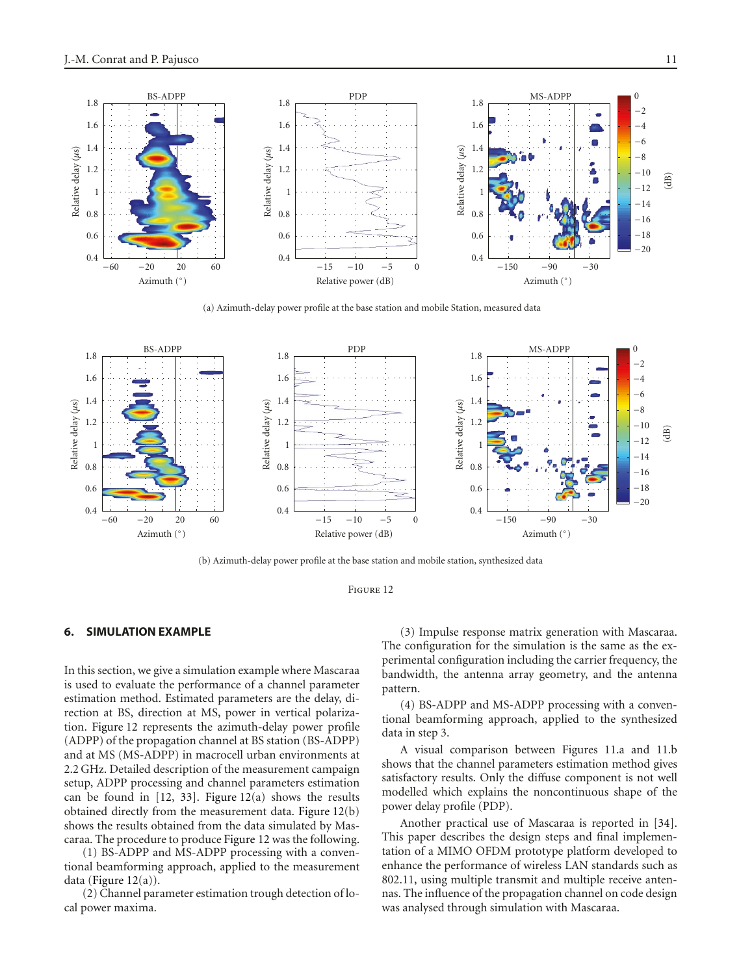

(a) Azimuth-delay power profile at the base station and mobile Station, measured data



(b) Azimuth-delay power profile at the base station and mobile station, synthesized data



## <span id="page-10-0"></span>**6. SIMULATION EXAMPLE**

In this section, we give a simulation example where Mascaraa is used to evaluate the performance of a channel parameter estimation method. Estimated parameters are the delay, direction at BS, direction at MS, power in vertical polarization. Figure 12 represents the azimuth-delay power profile (ADPP) of the propagation channel at BS station (BS-ADPP) and at MS (MS-ADPP) in macrocell urban environments at 2.2 GHz. Detailed description of the measurement campaign setup, ADPP processing and channel parameters estimation can be found in  $[12, 33]$  $[12, 33]$  $[12, 33]$  $[12, 33]$ . Figure  $12(a)$  shows the results obtained directly from the measurement data. Figure 12(b) shows the results obtained from the data simulated by Mascaraa. The procedure to produce Figure 12 was the following.

(1) BS-ADPP and MS-ADPP processing with a conventional beamforming approach, applied to the measurement data (Figure 12(a)).

(2) Channel parameter estimation trough detection of local power maxima.

(3) Impulse response matrix generation with Mascaraa. The configuration for the simulation is the same as the experimental configuration including the carrier frequency, the bandwidth, the antenna array geometry, and the antenna pattern.

(4) BS-ADPP and MS-ADPP processing with a conventional beamforming approach, applied to the synthesized data in step 3.

A visual comparison between Figures 11.a and 11.b shows that the channel parameters estimation method gives satisfactory results. Only the diffuse component is not well modelled which explains the noncontinuous shape of the power delay profile (PDP).

Another practical use of Mascaraa is reported in [\[34](#page-12-10)]. This paper describes the design steps and final implementation of a MIMO OFDM prototype platform developed to enhance the performance of wireless LAN standards such as 802.11, using multiple transmit and multiple receive antennas. The influence of the propagation channel on code design was analysed through simulation with Mascaraa.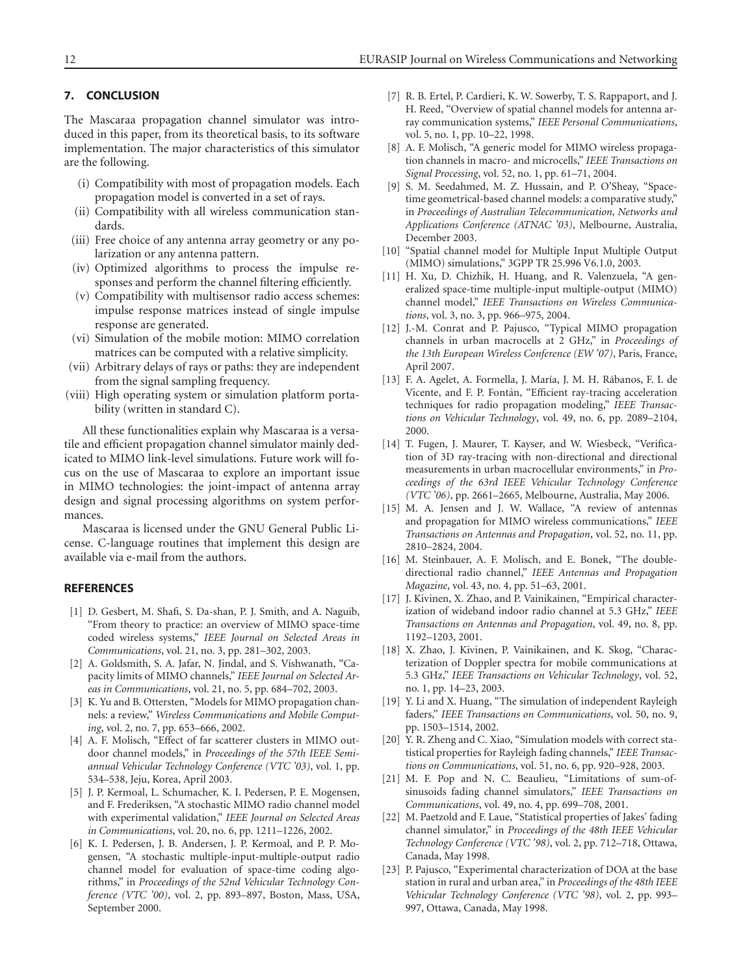# **7. CONCLUSION**

The Mascaraa propagation channel simulator was introduced in this paper, from its theoretical basis, to its software implementation. The major characteristics of this simulator are the following.

- (i) Compatibility with most of propagation models. Each propagation model is converted in a set of rays.
- (ii) Compatibility with all wireless communication standards.
- (iii) Free choice of any antenna array geometry or any polarization or any antenna pattern.
- (iv) Optimized algorithms to process the impulse responses and perform the channel filtering efficiently.
- (v) Compatibility with multisensor radio access schemes: impulse response matrices instead of single impulse response are generated.
- (vi) Simulation of the mobile motion: MIMO correlation matrices can be computed with a relative simplicity.
- (vii) Arbitrary delays of rays or paths: they are independent from the signal sampling frequency.
- (viii) High operating system or simulation platform portability (written in standard C).

All these functionalities explain why Mascaraa is a versatile and efficient propagation channel simulator mainly dedicated to MIMO link-level simulations. Future work will focus on the use of Mascaraa to explore an important issue in MIMO technologies: the joint-impact of antenna array design and signal processing algorithms on system performances.

Mascaraa is licensed under the GNU General Public License. C-language routines that implement this design are available via e-mail from the authors.

# <span id="page-11-1"></span><span id="page-11-0"></span>**REFERENCES**

- [1] D. Gesbert, M. Shafi, S. Da-shan, P. J. Smith, and A. Naguib, "From theory to practice: an overview of MIMO space-time coded wireless systems," *IEEE Journal on Selected Areas in Communications*, vol. 21, no. 3, pp. 281–302, 2003.
- <span id="page-11-2"></span>[2] A. Goldsmith, S. A. Jafar, N. Jindal, and S. Vishwanath, "Capacity limits of MIMO channels," *IEEE Journal on Selected Areas in Communications*, vol. 21, no. 5, pp. 684–702, 2003.
- <span id="page-11-3"></span>[3] K. Yu and B. Ottersten, "Models for MIMO propagation channels: a review," *Wireless Communications and Mobile Computing*, vol. 2, no. 7, pp. 653–666, 2002.
- <span id="page-11-4"></span>[4] A. F. Molisch, "Effect of far scatterer clusters in MIMO outdoor channel models," in *Proceedings of the 57th IEEE Semiannual Vehicular Technology Conference (VTC '03)*, vol. 1, pp. 534–538, Jeju, Korea, April 2003.
- <span id="page-11-5"></span>[5] J. P. Kermoal, L. Schumacher, K. I. Pedersen, P. E. Mogensen, and F. Frederiksen, "A stochastic MIMO radio channel model with experimental validation," *IEEE Journal on Selected Areas in Communications*, vol. 20, no. 6, pp. 1211–1226, 2002.
- <span id="page-11-6"></span>[6] K. I. Pedersen, J. B. Andersen, J. P. Kermoal, and P. P. Mogensen, "A stochastic multiple-input-multiple-output radio channel model for evaluation of space-time coding algorithms," in *Proceedings of the 52nd Vehicular Technology Conference (VTC '00)*, vol. 2, pp. 893–897, Boston, Mass, USA, September 2000.
- <span id="page-11-7"></span>[7] R. B. Ertel, P. Cardieri, K. W. Sowerby, T. S. Rappaport, and J. H. Reed, "Overview of spatial channel models for antenna array communication systems," *IEEE Personal Communications*, vol. 5, no. 1, pp. 10–22, 1998.
- [8] A. F. Molisch, "A generic model for MIMO wireless propagation channels in macro- and microcells," *IEEE Transactions on Signal Processing*, vol. 52, no. 1, pp. 61–71, 2004.
- <span id="page-11-8"></span>[9] S. M. Seedahmed, M. Z. Hussain, and P. O'Sheay, "Spacetime geometrical-based channel models: a comparative study," in *Proceedings of Australian Telecommunication, Networks and Applications Conference (ATNAC '03)*, Melbourne, Australia, December 2003.
- <span id="page-11-9"></span>[10] "Spatial channel model for Multiple Input Multiple Output (MIMO) simulations," 3GPP TR 25.996 V6.1.0, 2003.
- [11] H. Xu, D. Chizhik, H. Huang, and R. Valenzuela, "A generalized space-time multiple-input multiple-output (MIMO) channel model," *IEEE Transactions on Wireless Communications*, vol. 3, no. 3, pp. 966–975, 2004.
- <span id="page-11-10"></span>[12] J.-M. Conrat and P. Pajusco, "Typical MIMO propagation channels in urban macrocells at 2 GHz," in *Proceedings of the 13th European Wireless Conference (EW '07)*, Paris, France, April 2007.
- <span id="page-11-11"></span>[13] F. A. Agelet, A. Formella, J. María, J. M. H. Rábanos, F. I. de Vicente, and F. P. Fontán, "Efficient ray-tracing acceleration techniques for radio propagation modeling," *IEEE Transactions on Vehicular Technology*, vol. 49, no. 6, pp. 2089–2104, 2000.
- <span id="page-11-12"></span>[14] T. Fugen, J. Maurer, T. Kayser, and W. Wiesbeck, "Verification of 3D ray-tracing with non-directional and directional measurements in urban macrocellular environments," in *Proceedings of the 63rd IEEE Vehicular Technology Conference (VTC '06)*, pp. 2661–2665, Melbourne, Australia, May 2006.
- <span id="page-11-13"></span>[15] M. A. Jensen and J. W. Wallace, "A review of antennas and propagation for MIMO wireless communications," *IEEE Transactions on Antennas and Propagation*, vol. 52, no. 11, pp. 2810–2824, 2004.
- <span id="page-11-14"></span>[16] M. Steinbauer, A. F. Molisch, and E. Bonek, "The doubledirectional radio channel," *IEEE Antennas and Propagation Magazine*, vol. 43, no. 4, pp. 51–63, 2001.
- <span id="page-11-15"></span>[17] J. Kivinen, X. Zhao, and P. Vainikainen, "Empirical characterization of wideband indoor radio channel at 5.3 GHz," *IEEE Transactions on Antennas and Propagation*, vol. 49, no. 8, pp. 1192–1203, 2001.
- <span id="page-11-16"></span>[18] X. Zhao, J. Kivinen, P. Vainikainen, and K. Skog, "Characterization of Doppler spectra for mobile communications at 5.3 GHz," *IEEE Transactions on Vehicular Technology*, vol. 52, no. 1, pp. 14–23, 2003.
- <span id="page-11-17"></span>[19] Y. Li and X. Huang, "The simulation of independent Rayleigh faders," *IEEE Transactions on Communications*, vol. 50, no. 9, pp. 1503–1514, 2002.
- [20] Y. R. Zheng and C. Xiao, "Simulation models with correct statistical properties for Rayleigh fading channels," *IEEE Transactions on Communications*, vol. 51, no. 6, pp. 920–928, 2003.
- [21] M. F. Pop and N. C. Beaulieu, "Limitations of sum-ofsinusoids fading channel simulators," *IEEE Transactions on Communications*, vol. 49, no. 4, pp. 699–708, 2001.
- <span id="page-11-18"></span>[22] M. Paetzold and F. Laue, "Statistical properties of Jakes' fading channel simulator," in *Proceedings of the 48th IEEE Vehicular Technology Conference (VTC '98)*, vol. 2, pp. 712–718, Ottawa, Canada, May 1998.
- <span id="page-11-19"></span>[23] P. Pajusco, "Experimental characterization of DOA at the base station in rural and urban area," in *Proceedings of the 48th IEEE Vehicular Technology Conference (VTC '98)*, vol. 2, pp. 993– 997, Ottawa, Canada, May 1998.